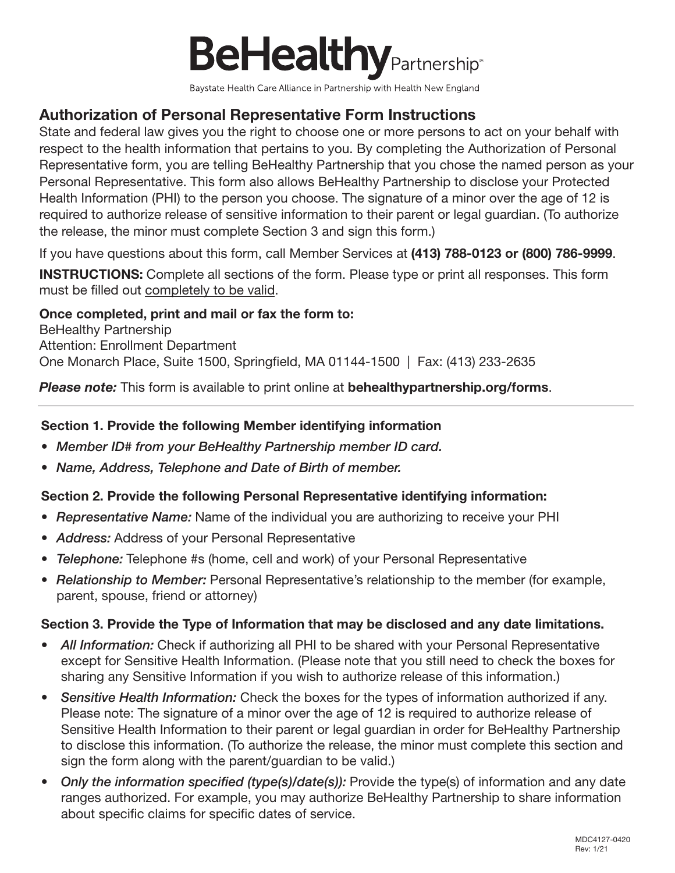

Baystate Health Care Alliance in Partnership with Health New England

## Authorization of Personal Representative Form Instructions

State and federal law gives you the right to choose one or more persons to act on your behalf with respect to the health information that pertains to you. By completing the Authorization of Personal Representative form, you are telling BeHealthy Partnership that you chose the named person as your Personal Representative. This form also allows BeHealthy Partnership to disclose your Protected Health Information (PHI) to the person you choose. The signature of a minor over the age of 12 is required to authorize release of sensitive information to their parent or legal guardian. (To authorize the release, the minor must complete Section 3 and sign this form.)

If you have questions about this form, call Member Services at (413) 788-0123 or (800) 786-9999.

INSTRUCTIONS: Complete all sections of the form. Please type or print all responses. This form must be filled out completely to be valid.

#### Once completed, print and mail or fax the form to:

BeHealthy Partnership Attention: Enrollment Department One Monarch Place, Suite 1500, Springfield, MA 01144-1500 | Fax: (413) 233-2635

*Please note:* This form is available to print online at behealthypartnership.org/forms.

#### Section 1. Provide the following Member identifying information

- *• Member ID# from your BeHealthy Partnership member ID card.*
- *• Name, Address, Telephone and Date of Birth of member.*

#### Section 2. Provide the following Personal Representative identifying information:

- *• Representative Name:* Name of the individual you are authorizing to receive your PHI
- *• Address:* Address of your Personal Representative
- *• Telephone:* Telephone #s (home, cell and work) of your Personal Representative
- *• Relationship to Member:* Personal Representative's relationship to the member (for example, parent, spouse, friend or attorney)

#### Section 3. Provide the Type of Information that may be disclosed and any date limitations.

- All Information: Check if authorizing all PHI to be shared with your Personal Representative except for Sensitive Health Information. (Please note that you still need to check the boxes for sharing any Sensitive Information if you wish to authorize release of this information.)
- *• Sensitive Health Information:* Check the boxes for the types of information authorized if any. Please note: The signature of a minor over the age of 12 is required to authorize release of Sensitive Health Information to their parent or legal guardian in order for BeHealthy Partnership to disclose this information. (To authorize the release, the minor must complete this section and sign the form along with the parent/guardian to be valid.)
- *• Only the information specified (type(s)/date(s)):* Provide the type(s) of information and any date ranges authorized. For example, you may authorize BeHealthy Partnership to share information about specific claims for specific dates of service.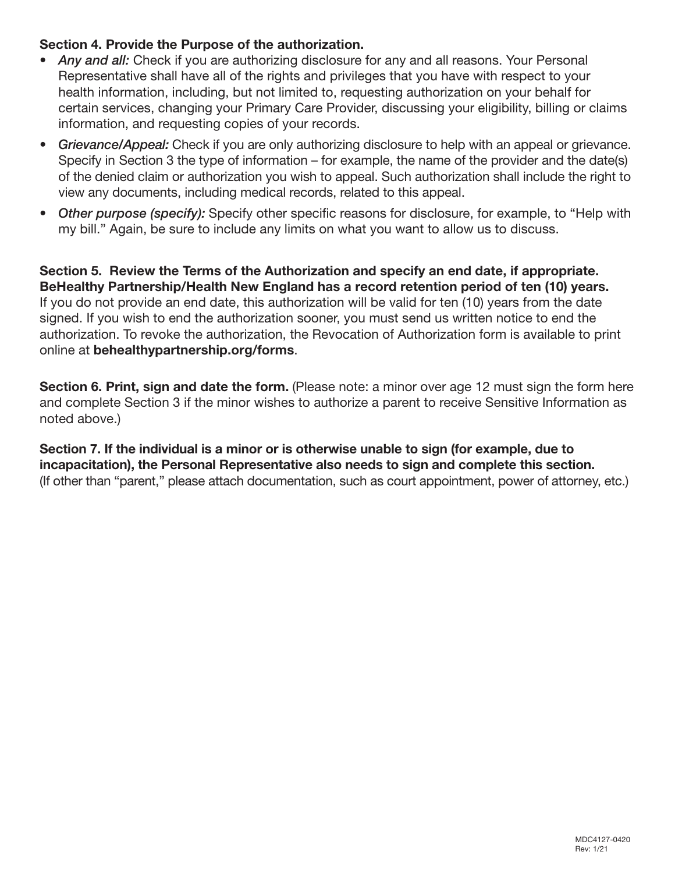#### Section 4. Provide the Purpose of the authorization.

- *• Any and all:* Check if you are authorizing disclosure for any and all reasons. Your Personal Representative shall have all of the rights and privileges that you have with respect to your health information, including, but not limited to, requesting authorization on your behalf for certain services, changing your Primary Care Provider, discussing your eligibility, billing or claims information, and requesting copies of your records.
- *• Grievance/Appeal:* Check if you are only authorizing disclosure to help with an appeal or grievance. Specify in Section 3 the type of information – for example, the name of the provider and the date(s) of the denied claim or authorization you wish to appeal. Such authorization shall include the right to view any documents, including medical records, related to this appeal.
- *• Other purpose (specify):* Specify other specific reasons for disclosure, for example, to "Help with my bill." Again, be sure to include any limits on what you want to allow us to discuss.

Section 5. Review the Terms of the Authorization and specify an end date, if appropriate. BeHealthy Partnership/Health New England has a record retention period of ten (10) years. If you do not provide an end date, this authorization will be valid for ten (10) years from the date signed. If you wish to end the authorization sooner, you must send us written notice to end the authorization. To revoke the authorization, the Revocation of Authorization form is available to print online at behealthypartnership.org/forms.

Section 6. Print, sign and date the form. (Please note: a minor over age 12 must sign the form here and complete Section 3 if the minor wishes to authorize a parent to receive Sensitive Information as noted above.)

Section 7. If the individual is a minor or is otherwise unable to sign (for example, due to incapacitation), the Personal Representative also needs to sign and complete this section. (If other than "parent," please attach documentation, such as court appointment, power of attorney, etc.)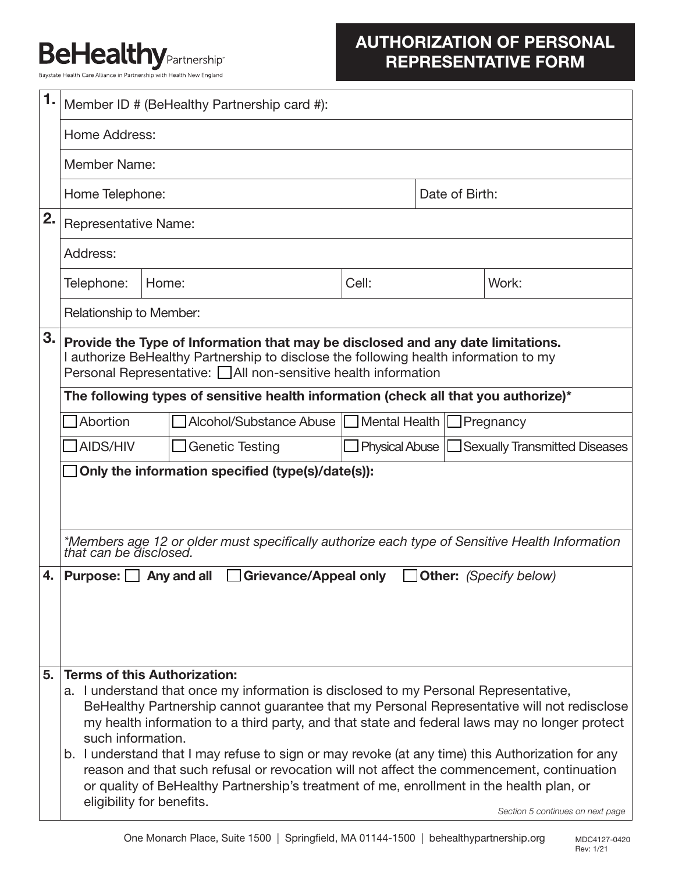# **BeHealthy Partnership**

Baystate Health Care Alliance in Partnership with Health New England

# AUTHORIZATION OF PERSONAL REPRESENTATIVE FORM

| 1. | Member ID # (BeHealthy Partnership card #):                                                                                                                                                                                                       |                        |       |                                         |                |                                                |  |
|----|---------------------------------------------------------------------------------------------------------------------------------------------------------------------------------------------------------------------------------------------------|------------------------|-------|-----------------------------------------|----------------|------------------------------------------------|--|
|    |                                                                                                                                                                                                                                                   |                        |       |                                         |                |                                                |  |
|    | Home Address:                                                                                                                                                                                                                                     |                        |       |                                         |                |                                                |  |
|    | Member Name:                                                                                                                                                                                                                                      |                        |       |                                         |                |                                                |  |
|    | Home Telephone:                                                                                                                                                                                                                                   |                        |       |                                         | Date of Birth: |                                                |  |
| 2. | <b>Representative Name:</b>                                                                                                                                                                                                                       |                        |       |                                         |                |                                                |  |
|    | Address:                                                                                                                                                                                                                                          |                        |       |                                         |                |                                                |  |
|    | Telephone:<br>Home:                                                                                                                                                                                                                               |                        | Cell: |                                         | Work:          |                                                |  |
|    | Relationship to Member:                                                                                                                                                                                                                           |                        |       |                                         |                |                                                |  |
| 3. | Provide the Type of Information that may be disclosed and any date limitations.<br>I authorize BeHealthy Partnership to disclose the following health information to my<br>Personal Representative: <u>□</u> All non-sensitive health information |                        |       |                                         |                |                                                |  |
|    | The following types of sensitive health information (check all that you authorize)*                                                                                                                                                               |                        |       |                                         |                |                                                |  |
|    | Abortion                                                                                                                                                                                                                                          |                        |       | Alcohol/Substance Abuse   Mental Health |                | $\Box$ Pregnancy                               |  |
|    | AIDS/HIV                                                                                                                                                                                                                                          | <b>Genetic Testing</b> |       |                                         |                | Physical Abuse   Sexually Transmitted Diseases |  |
|    | Only the information specified (type(s)/date(s)):                                                                                                                                                                                                 |                        |       |                                         |                |                                                |  |
|    |                                                                                                                                                                                                                                                   |                        |       |                                         |                |                                                |  |
|    |                                                                                                                                                                                                                                                   |                        |       |                                         |                |                                                |  |
|    | *Members age 12 or older must specifically authorize each type of Sensitive Health Information<br>that can be disclosed.                                                                                                                          |                        |       |                                         |                |                                                |  |
| 4. | Other: (Specify below)<br>Purpose: Sany and all<br><b>Grievance/Appeal only</b>                                                                                                                                                                   |                        |       |                                         |                |                                                |  |
|    |                                                                                                                                                                                                                                                   |                        |       |                                         |                |                                                |  |
|    |                                                                                                                                                                                                                                                   |                        |       |                                         |                |                                                |  |
|    |                                                                                                                                                                                                                                                   |                        |       |                                         |                |                                                |  |
| 5. | <b>Terms of this Authorization:</b>                                                                                                                                                                                                               |                        |       |                                         |                |                                                |  |
|    | a. I understand that once my information is disclosed to my Personal Representative,<br>BeHealthy Partnership cannot guarantee that my Personal Representative will not redisclose                                                                |                        |       |                                         |                |                                                |  |
|    | my health information to a third party, and that state and federal laws may no longer protect                                                                                                                                                     |                        |       |                                         |                |                                                |  |
|    | such information.<br>b. I understand that I may refuse to sign or may revoke (at any time) this Authorization for any                                                                                                                             |                        |       |                                         |                |                                                |  |
|    | reason and that such refusal or revocation will not affect the commencement, continuation<br>or quality of BeHealthy Partnership's treatment of me, enrollment in the health plan, or                                                             |                        |       |                                         |                |                                                |  |
|    | eligibility for benefits.<br>Section 5 continues on next page                                                                                                                                                                                     |                        |       |                                         |                |                                                |  |